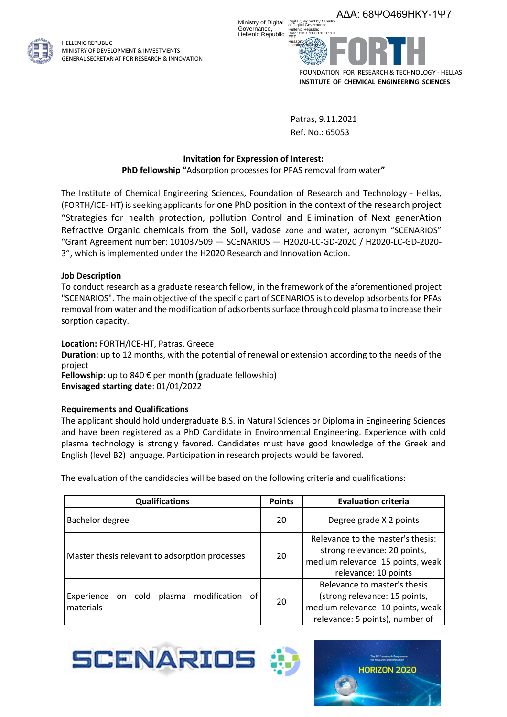

HELLENIC REPUBLIC MINISTRY OF DEVELOPMENT & INVESTMENTS GENERAL SECRETARIAT FOR RESEARCH & INNOVATION



Patras, 9.11.2021 Ref. No.: 65053

## **Invitation for Expression of Interest:**

**PhD fellowship "**Adsorption processes for PFAS removal from water**"**

The Institute of Chemical Engineering Sciences, Foundation of Research and Technology - Hellas, (FORTH/ICE- HT) is seeking applicants for one PhD position in the context of the research project "Strategies for health protection, pollution Control and Elimination of Next generAtion RefractIve Organic chemicals from the Soil, vadose zone and water, acronym "SCENARIOS" "Grant Agreement number: 101037509 — SCENARIOS — H2020-LC-GD-2020 / H2020-LC-GD-2020- 3", which is implemented under the H2020 Research and Innovation Action.

### **Job Description**

To conduct research as a graduate research fellow, in the framework of the aforementioned project "SCENARIOS". The main objective of the specific part of SCENARIOS is to develop adsorbents for PFAs removal from water and the modification of adsorbents surface through cold plasma to increase their sorption capacity.

### **Location:** FORTH/ICE-HT, Patras, Greece

**Duration:** up to 12 months, with the potential of renewal or extension according to the needs of the project

**Fellowship:** up to 840 € per month (graduate fellowship) **Envisaged starting date**: 01/01/2022

# **Requirements and Qualifications**

The applicant should hold undergraduate B.S. in Natural Sciences or Diploma in Engineering Sciences and have been registered as a PhD Candidate in Environmental Engineering. Experience with cold plasma technology is strongly favored. Candidates must have good knowledge of the Greek and English (level B2) language. Participation in research projects would be favored.

The evaluation of the candidacies will be based on the following criteria and qualifications:

| <b>Qualifications</b>                                        | <b>Points</b> | <b>Evaluation criteria</b>                                                                                                            |
|--------------------------------------------------------------|---------------|---------------------------------------------------------------------------------------------------------------------------------------|
| Bachelor degree                                              | 20            | Degree grade X 2 points                                                                                                               |
| Master thesis relevant to adsorption processes               | 20            | Relevance to the master's thesis:<br>strong relevance: 20 points,<br>medium relevance: 15 points, weak<br>relevance: 10 points        |
| plasma modification of<br>Experience<br>on cold<br>materials | 20            | Relevance to master's thesis<br>(strong relevance: 15 points,<br>medium relevance: 10 points, weak<br>relevance: 5 points), number of |



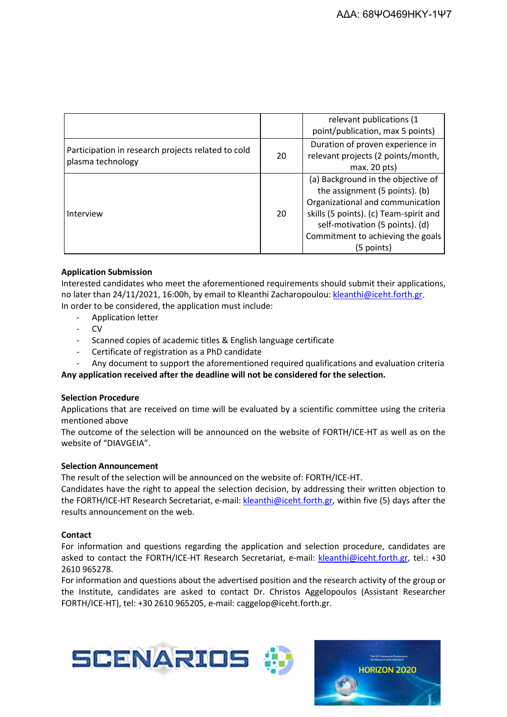|                                                                         |    | relevant publications (1<br>point/publication, max 5 points)                                                                                                                                                                             |
|-------------------------------------------------------------------------|----|------------------------------------------------------------------------------------------------------------------------------------------------------------------------------------------------------------------------------------------|
| Participation in research projects related to cold<br>plasma technology | 20 | Duration of proven experience in<br>relevant projects (2 points/month,<br>max. 20 pts)                                                                                                                                                   |
| Interview                                                               | 20 | (a) Background in the objective of<br>the assignment (5 points). (b)<br>Organizational and communication<br>skills (5 points). (c) Team-spirit and<br>self-motivation (5 points). (d)<br>Commitment to achieving the goals<br>(5 points) |

## **Application Submission**

Interested candidates who meet the aforementioned requirements should submit their applications, no later than 24/11/2021, 16:00h, by email to Kleanthi Zacharopoulou: [kleanthi@iceht.forth.gr.](mailto:kleanthi@iceht.forth.gr) In order to be considered, the application must include:

- Application letter
- CV
- Scanned copies of academic titles & English language certificate
- Certificate of registration as a PhD candidate
- Any document to support the aforementioned required qualifications and evaluation criteria

**Any application received after the deadline will not be considered for the selection.**

### **Selection Procedure**

Applications that are received on time will be evaluated by a scientific committee using the criteria mentioned above

The outcome of the selection will be announced on the website of FORTH/ICE-HT as well as on the website of "DIAVGEIA".

### **Selection Announcement**

The result of the selection will be announced on the website of: FORTH/ICE-HT.

Candidates have the right to appeal the selection decision, by addressing their written objection to the FORTH/ICE-HT Research Secretariat, e-mail: [kleanthi@iceht.forth.gr,](mailto:kleanthi@iceht.forth.gr) within five (5) days after the results announcement on the web.

### **Contact**

For information and questions regarding the application and selection procedure, candidates are asked to contact the FORTH/ICE-HT Research Secretariat, e-mail: [kleanthi@iceht.forth.gr,](mailto:kleanthi@iceht.forth.gr) tel.: +30 2610 965278.

For information and questions about the advertised position and the research activity of the group or the Institute, candidates are asked to contact Dr. Christos Aggelopoulos (Assistant Researcher FORTH/ICE-HT), tel: +30 2610 965205, e-mail: caggelop@iceht.forth.gr.